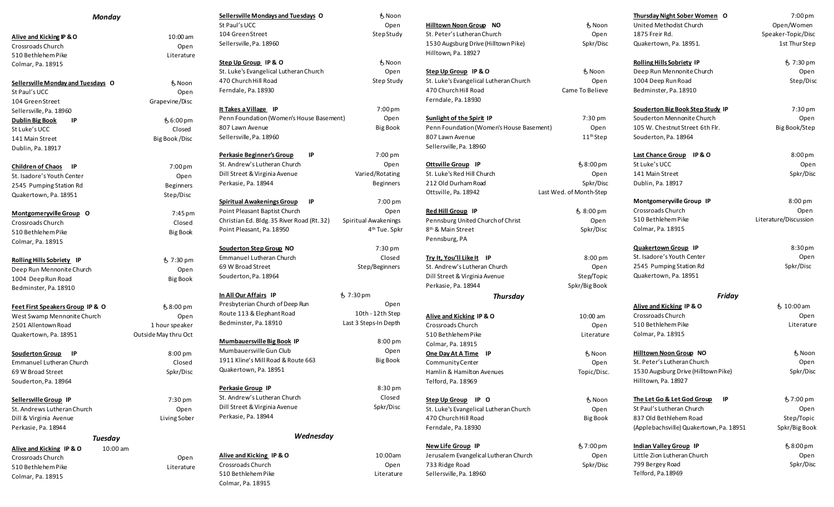## *Monday*

**Alive and Kicking IP & O** 10:00 am Crossroads Church Crossroads Church Crossroads Church Crossroads Church Crossroads Church Crossroads Church Cro 510 Bethlehem Pike **Literature** Literature Colmar, Pa. 18915

Sellersville Monday and Tuesdays O **Sellersville Monday and Tuesdays O Noon** 

St Paul's UCC **Open** 104 Green Street Grapevine / Disc Sellersville, Pa. 18960 **Dublin Big Book IP** 6:00 pm St Luke's UCC Closed 141 Main Street Big Book / Disc

**Children of Chaos IP** 7:00 pm

Dublin, Pa. 18917

St. Isadore's Youth Center Context Context Context Context Context Context Context Context Context Context Context Context Context Context Context Context Context Context Context Context Context Context Context Context Con 2545 Pumping Station Rd Beginners Quakertown, Pa. 18951 Step/Disc

**Montgomeryville Group O** 7:45 pm Crossroads Church Closed 510 Bethlehem Pike Big Book Colmar, Pa. 18915

**Rolling Hills Sobriety IP**  7:30 pm

Deep Run Mennonite Church Open 1004 Deep Run Road Big Book Bedminster, Pa. 18910

**Feet First Speakers Group IP & O**  $68:00 \text{ pm}$ West Swamp Mennonite Church **Channel Company** Open 2501 Allentown Road 1 hour speaker Quakertown, Pa. 18951 Outside May thru Oct

**Souderton Group IP** 8:00 pm Emmanuel Lutheran Church Closed

69 W Broad Street Spkr/Disc Souderton, Pa. 18964

**Sellersville Group IP** 7:30 pm St. Andrews Lutheran Church Changes of Cheese Cheese Cheese Cheese Cheese Cheese Cheese Cheese Cheese Cheese Cheese Cheese Cheese Cheese Cheese Cheese Cheese Cheese Cheese Cheese Cheese Cheese Cheese Cheese Cheese Cheese C Dill & Virginia Avenue Living Sober Perkasie, Pa. 18944

*Tuesday* **Alive and Kicking IP & O** 10:00 am Crossroads Church **Crossroads** Church **Open** 510 Bethlehem Pike Literature Colmar, Pa. 18915

Sellersville Mondays and Tuesdays O<br>
Sellersville Mondays and Tuesdays O St Paul's UCC **Open** 104 Green Street Step Study Sellersville, Pa. 18960 **Step Up Group IP & O** おおおおもの も Noon St. Luke's Evangelical Lutheran Church Church Open 470 Church Hill Road Step Study Ferndale, Pa. 18930 **It Takes a Village IP** 7:00 pm Penn Foundation (Women's House Basement) Open 807 Lawn Avenue **Big Book** Sellersville, Pa. 18960 **Perkasie Beginner's Group IP** 7:00 pm St. Andrew's Lutheran Church Changes of Chern Chern Chern Chern Chern Chern Chern Chern Chern Chern Chern Chern Dill Street & Virginia Avenue Varied/Rotating Perkasie, Pa. 18944 Beginners **Spiritual Awakenings Group IP** 7:00 pm Point Pleasant Baptist Church **Channel Company** Open Christian Ed. Bldg. 35 River Road (Rt. 32) Spiritual Awakenings Point Pleasant, Pa. 18950 4 4<sup>th</sup> Tue. Spkr **Souderton Step Group NO** 7:30 pm Emmanuel Lutheran Church Closed 69 W Broad Street Step/Beginners Souderton, Pa. 18964 **In All Our Affairs IP** 7:30 pm Presbyterian Church of Deep Run **Changes** Open Route 113 & Elephant Road 10th - 12th Step Bedminster, Pa. 18910 Last 3 Steps-In Depth **Mumbauersville Big Book IP** 8:00 pm Mumbauersville Gun Club **Open** 1911 Kline's Mill Road & Route 663 Big Book Quakertown, Pa. 18951 **Perkasie Group IP** 8:30 pm St. Andrew's Lutheran Church Closed Dill Street & Virginia Avenue Spkr/Disc Perkasie, Pa. 18944 *Wednesday* **Alive and Kicking IP & O** 10:00am

> Crossroads Church Crossroads Church Crossroads Church Community Community Community Community Community Community 510 Bethlehem Pike Literature

Colmar, Pa. 18915

**Hilltown No** St. Peter's L 1530 Augsb Hilltown, Pa **Step Up Gro** St. Luke's Ev 470 Church Ferndale, P. **Sunlight of** Penn Found 807 Lawn A Sellersville, **Ottsville Gro** St. Luke's Re  $212$  Old Dur Ottsville, Pa. **Red Hill Gro** Pennsburg Pennsburg, **Try It, You'l** St. Andrew' Dill Street 8 Perkasie, Pa  *Thursday* **Alive and Ki** Crossroads 510 Bethlel Colmar, Pa. **One Day At** Community Hamlin & Ha Telford, Pa. **Step Up Gro** St. Luke's Ev 470 Church Ferndale, P. **New Life Gr** Jerusalem E 733 Ridge R Sellersville, Pa. 18960

|                                          |                         | <b>Thursday Night Sober \</b>   |
|------------------------------------------|-------------------------|---------------------------------|
| Hilltown Noon Group NO                   | ჭ Noon                  | United Methodist Chur           |
| St. Peter's Lutheran Church              | Open                    | 1875 Freir Rd.                  |
| 1530 Augsburg Drive (Hilltown Pike)      | Spkr/Disc               | Quakertown, Pa. 1895:           |
| Hilltown, Pa. 18927                      |                         |                                 |
|                                          |                         | <b>Rolling Hills Sobriety 1</b> |
| Step Up Group IP & O                     | ર્ન Noon                | Deep Run Mennonite (            |
| St. Luke's Evangelical Lutheran Church   | Open                    | 1004 Deep Run Road              |
| 470 Church Hill Road                     | Came To Believe         | Bedminster, Pa. 18910           |
| Ferndale, Pa. 18930                      |                         |                                 |
|                                          |                         | <b>Souderton Big Book St</b>    |
| <u>Sunlight of the Spirit</u> IP         | 7:30 pm                 | Souderton Mennonite             |
| Penn Foundation (Women's House Basement) | Open                    | 105 W. Chestnut Stree           |
| 807 Lawn Avenue                          | 11 <sup>th</sup> Step   | Souderton, Pa. 18964            |
| Sellersville, Pa. 18960                  |                         |                                 |
|                                          |                         | <b>Last Chance Group</b><br>H   |
| <u>Ottsville Group</u> IP                | ჭ8:00pm                 | St Luke's UCC                   |
| St. Luke's Red Hill Church               | Open                    | 141 Main Street                 |
| 212 Old Durham Road                      | Spkr/Disc               | Dublin, Pa. 18917               |
| Ottsville, Pa. 18942                     | Last Wed. of Month-Step |                                 |
|                                          |                         | Montgomeryville Grou            |
| <u>Red Hill Group</u> IP                 | $6.8:00 \text{ pm}$     | Crossroads Church               |
| Pennsburg United Church of Christ        | Open                    | 510 Bethlehem Pike              |
| 8 <sup>th</sup> & Main Street            | Spkr/Disc               | Colmar, Pa. 18915               |
| Pennsburg, PA                            |                         |                                 |
|                                          |                         | Quakertown Group II             |
| <u>Try It, You'll Like It</u><br>- IP    | $8:00 \text{ pm}$       | St. Isadore's Youth Cen         |
| St. Andrew's Lutheran Church             | Open                    | 2545 Pumping Station            |
| Dill Street & Virginia Avenue            | Step/Topic              | Quakertown, Pa. 1895:           |
| Perkasie, Pa. 18944                      | Spkr/Big Book           |                                 |
| Thursday                                 |                         |                                 |
|                                          |                         | Alive and Kicking IP &          |
| <u>Alive and Kicking</u> IP & O          | $10:00$ am              | Crossroads Church               |
| Crossroads Church                        | Open                    | 510 Bethlehem Pike              |
| 510 Bethlehem Pike                       | Literature              | Colmar, Pa. 18915               |
| Colmar, Pa. 18915                        |                         |                                 |
| <u>One Day At A Time</u><br>IP           | も Noon                  | <b>Hilltown Noon Group</b>      |
| Community Center                         | Open                    | St. Peter's Lutheran Ch         |
| Hamlin & Hamilton Avenues                | Topic/Disc.             | 1530 Augsburg Drive (F          |
| Telford, Pa. 18969                       |                         | Hilltown, Pa. 18927             |
| <u>Step Up Group</u><br>IP O             | ર્ન Noon                | The Let Go & Let God (          |
| St. Luke's Evangelical Lutheran Church   | Open                    | St Paul's Lutheran Chui         |
| 470 Church Hill Road                     | <b>Big Book</b>         | 837 Old Bethlehem Ro            |
| Ferndale, Pa. 18930                      |                         | (Applebachsville) Quak          |
| New Life Group IP                        | ჭ 7:00 pm               | <b>Indian Valley Group II</b>   |
| Jerusalem Evangelical Lutheran Church    | Open                    | Little Zion Lutheran Ch         |
| 733 Ridge Road                           | Spkr/Disc               | 799 Bergey Road                 |
| Sellersville, Pa. 18960                  |                         | Telford, Pa.18969               |

| <u>Thursday Night Sober Women</u> O          | 7:00 pm               |
|----------------------------------------------|-----------------------|
| United Methodist Church                      | Open/Women            |
| 1875 Freir Rd.                               | Speaker-Topic/Disc    |
| Quakertown, Pa. 18951.                       | 1st Thur Step         |
| <b>Rolling Hills Sobriety IP</b>             | $6, 7:30 \text{ pm}$  |
| Deep Run Mennonite Church                    | Open                  |
| 1004 Deep Run Road                           | Step/Disc             |
| Bedminster, Pa. 18910                        |                       |
| <u>Souderton Big Book Step Study</u> IP      | 7:30 pm               |
| Souderton Mennonite Church                   | Open                  |
| 105 W. Chestnut Street 6th Flr.              | Big Book/Step         |
| Souderton, Pa. 18964                         |                       |
| <u> Last Chance Group</u><br><b>IP&amp;O</b> | 8:00 pm               |
| St Luke's UCC                                | Open                  |
| 141 Main Street                              | Spkr/Disc             |
| Dublin, Pa. 18917                            |                       |
| Montgomeryville Group IP                     | 8:00 pm               |
| Crossroads Church                            | Open                  |
| 510 Bethlehem Pike                           | Literature/Discussion |
| Colmar, Pa. 18915                            |                       |
| <u> Quakertown Group</u> IP                  | 8:30 pm               |
| St. Isadore's Youth Center                   | Open                  |
| 2545 Pumping Station Rd                      | Spkr/Disc             |
| Quakertown, Pa. 18951                        |                       |
| Friday                                       |                       |
| <u>Alive and Kicking</u> IP & O              | ჭ 10:00 am            |
| Crossroads Church                            | Open                  |
| 510 Bethlehem Pike                           | Literature            |
| Colmar, Pa. 18915                            |                       |
| <u> Hilltown Noon Group</u> NO               | ર્ન Noon              |
| St. Peter's Lutheran Church                  | Open                  |
| 1530 Augsburg Drive (Hilltown Pike)          | Spkr/Disc             |
| Hilltown, Pa. 18927                          |                       |
| The Let Go & Let God Group<br>IP             | $67:00 \text{ pm}$    |
| St Paul's Lutheran Church                    | Open                  |
| 837 Old Bethlehem Road                       | Step/Topic            |
| (Applebachsville) Quakertown, Pa. 18951      | Spkr/Big Book         |
| <b>Indian Valley Group IP</b>                | ჭ 8:00 pm             |
| Little Zion Lutheran Church                  | Open                  |
| 799 Bergey Road                              | Spkr/Disc             |
| Telford, Pa.18969                            |                       |
|                                              |                       |